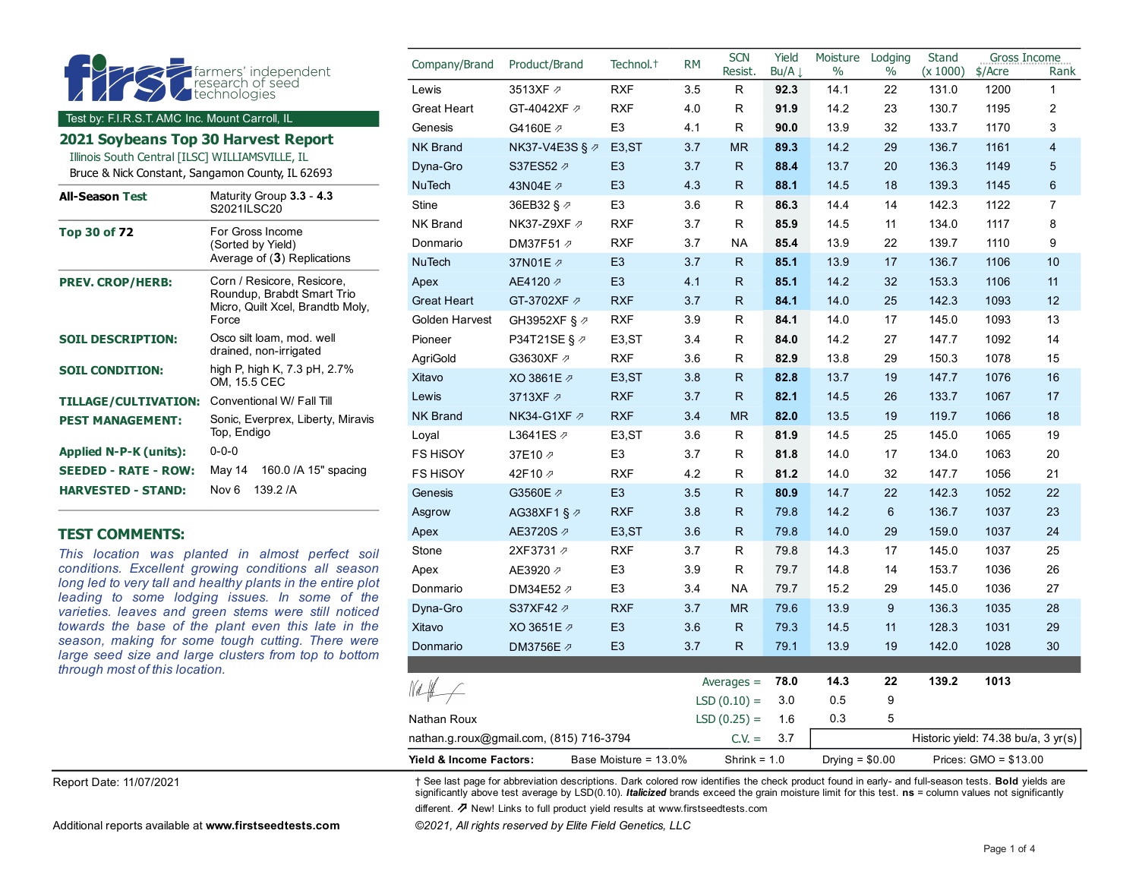|                                                                                                               |                                                                        | Company/Brand         | Product/Brand    | Technol. <sup>+</sup> | <b>RM</b>    | <b>SCN</b><br>Resist. | Yield<br>Bu/A $\downarrow$ | Moisture<br>$\%$ | Lodging<br>$\%$ | <b>Stand</b><br>(x 1000) | Gross Income<br>$$/$ Acre | Rank           |
|---------------------------------------------------------------------------------------------------------------|------------------------------------------------------------------------|-----------------------|------------------|-----------------------|--------------|-----------------------|----------------------------|------------------|-----------------|--------------------------|---------------------------|----------------|
|                                                                                                               | <b>Formalist</b><br><b>C</b> research of seed<br><b>C</b> rechnologies | Lewis                 | 3513XF 2         | <b>RXF</b>            | 3.5          | R                     | 92.3                       | 14.1             | 22              | 131.0                    | 1200                      | $\mathbf{1}$   |
|                                                                                                               |                                                                        | <b>Great Heart</b>    | GT-4042XF 2      | <b>RXF</b>            | 4.0          | R                     | 91.9                       | 14.2             | 23              | 130.7                    | 1195                      | $\overline{2}$ |
| Test by: F.I.R.S.T. AMC Inc. Mount Carroll, IL                                                                |                                                                        | Genesis               | G4160E 2         | E <sub>3</sub>        | 4.1          | R.                    | 90.0                       | 13.9             | 32              | 133.7                    | 1170                      | 3              |
| 2021 Soybeans Top 30 Harvest Report                                                                           |                                                                        | <b>NK Brand</b>       | NK37-V4E3S § ク   | E <sub>3</sub> ,ST    | 3.7          | <b>MR</b>             | 89.3                       | 14.2             | 29              | 136.7                    | 1161                      | $\overline{4}$ |
| Illinois South Central [ILSC] WILLIAMSVILLE, IL<br>Bruce & Nick Constant, Sangamon County, IL 62693           |                                                                        | Dyna-Gro              | S37ES52 2        | E <sub>3</sub>        | 3.7          | R.                    | 88.4                       | 13.7             | 20              | 136.3                    | 1149                      | 5              |
|                                                                                                               |                                                                        | <b>NuTech</b>         | 43N04E 2         | E <sub>3</sub>        | 4.3          | R.                    | 88.1                       | 14.5             | 18              | 139.3                    | 1145                      | 6              |
| <b>All-Season Test</b>                                                                                        | Maturity Group 3.3 - 4.3<br>S2021ILSC20                                | Stine                 | 36EB32 § 2       | E <sub>3</sub>        | 3.6          | R.                    | 86.3                       | 14.4             | 14              | 142.3                    | 1122                      | $\overline{7}$ |
| <b>Top 30 of 72</b>                                                                                           | For Gross Income                                                       | <b>NK Brand</b>       | NK37-Z9XF Ø      | <b>RXF</b>            | 3.7          | R                     | 85.9                       | 14.5             | 11              | 134.0                    | 1117                      | 8              |
|                                                                                                               | (Sorted by Yield)                                                      | Donmario              | DM37F51 2        | <b>RXF</b>            | 3.7          | <b>NA</b>             | 85.4                       | 13.9             | 22              | 139.7                    | 1110                      | 9              |
|                                                                                                               | Average of (3) Replications                                            | <b>NuTech</b>         | 37N01E 2         | E <sub>3</sub>        | 3.7          | R.                    | 85.1                       | 13.9             | 17              | 136.7                    | 1106                      | 10             |
| <b>PREV. CROP/HERB:</b>                                                                                       | Corn / Resicore, Resicore,                                             | Apex                  | AE4120 ₽         | E <sub>3</sub>        | 4.1          | R.                    | 85.1                       | 14.2             | 32              | 153.3                    | 1106                      | 11             |
|                                                                                                               | Roundup, Brabdt Smart Trio<br>Micro, Quilt Xcel, Brandtb Moly,         | <b>Great Heart</b>    | GT-3702XF 2      | <b>RXF</b>            | 3.7          | R.                    | 84.1                       | 14.0             | 25              | 142.3                    | 1093                      | 12             |
|                                                                                                               | Force                                                                  | <b>Golden Harvest</b> | GH3952XF § ク     | <b>RXF</b>            | 3.9          | R.                    | 84.1                       | 14.0             | 17              | 145.0                    | 1093                      | 13             |
| <b>SOIL DESCRIPTION:</b>                                                                                      | Osco silt loam, mod. well                                              | Pioneer               | P34T21SE § ク     | E <sub>3</sub> ,ST    | 3.4          | R                     | 84.0                       | 14.2             | 27              | 147.7                    | 1092                      | 14             |
|                                                                                                               | drained, non-irrigated                                                 | AgriGold              | G3630XF 2        | <b>RXF</b>            | 3.6          | R                     | 82.9                       | 13.8             | 29              | 1503                     | 1078                      | 15             |
| <b>SOIL CONDITION:</b>                                                                                        | high P, high K, 7.3 pH, 2.7%<br>OM, 15.5 CEC                           | Xitavo                | XO 3861E 2       | E <sub>3</sub> , ST   | 3.8          | R.                    | 82.8                       | 13.7             | 19              | 147.7                    | 1076                      | 16             |
| <b>TILLAGE/CULTIVATION:</b>                                                                                   | Conventional W/ Fall Till                                              | Lewis                 | 3713XF 2         | <b>RXF</b>            | 3.7          | R                     | 82.1                       | 14.5             | 26              | 133.7                    | 1067                      | 17             |
| <b>PEST MANAGEMENT:</b>                                                                                       | Sonic, Everprex, Liberty, Miravis                                      | <b>NK Brand</b>       | NK34-G1XF $\not$ | <b>RXF</b>            | 3.4          | <b>MR</b>             | 82.0                       | 13.5             | 19              | 119.7                    | 1066                      | 18             |
|                                                                                                               | Top, Endigo                                                            | Loyal                 | L3641ES Ø        | E <sub>3</sub> ,ST    | 3.6          | R                     | 81.9                       | 14.5             | 25              | 145.0                    | 1065                      | 19             |
| <b>Applied N-P-K (units):</b>                                                                                 | $0 - 0 - 0$                                                            | FS HISOY              | 37E10 2          | E <sub>3</sub>        | 3.7          | R                     | 81.8                       | 14.0             | 17              | 134.0                    | 1063                      | 20             |
| <b>SEEDED - RATE - ROW:</b>                                                                                   | 160.0 / A 15" spacing<br>May 14                                        | <b>FS HISOY</b>       | 42F10 2          | <b>RXF</b>            | 4.2          | R                     | 81.2                       | 14.0             | 32              | 147.7                    | 1056                      | 21             |
| <b>HARVESTED - STAND:</b>                                                                                     | 139.2 /A<br>Nov 6                                                      | Genesis               | G3560E 2         | E <sub>3</sub>        | 3.5          | R                     | 80.9                       | 14.7             | 22              | 142.3                    | 1052                      | 22             |
|                                                                                                               |                                                                        | Asgrow                | AG38XF1 § 2      | <b>RXF</b>            | 3.8          | R                     | 79.8                       | 14.2             | 6               | 136.7                    | 1037                      | 23             |
| <b>TEST COMMENTS:</b>                                                                                         |                                                                        | Apex                  | AE3720S 2        | E <sub>3</sub> ,ST    | 3.6          | R.                    | 79.8                       | 14.0             | 29              | 159.0                    | 1037                      | 24             |
| This location was planted in almost perfect soil                                                              | Stone                                                                  | 2XF3731 2             | <b>RXF</b>       | 3.7                   | R            | 79.8                  | 14.3                       | 17               | 145.0           | 1037                     | 25                        |                |
| conditions. Excellent growing conditions all season                                                           | Apex                                                                   | AE3920 2              | E <sub>3</sub>   | 3.9                   | R            | 79.7                  | 14.8                       | 14               | 153.7           | 1036                     | 26                        |                |
| long led to very tall and healthy plants in the entire plot<br>leading to some lodging issues. In some of the | Donmario                                                               | DM34E52 2             | E <sub>3</sub>   | 3.4                   | <b>NA</b>    | 79.7                  | 15.2                       | 29               | 145.0           | 1036                     | 27                        |                |
| varieties. leaves and green stems were still noticed                                                          | Dyna-Gro                                                               | S37XF42 2             | <b>RXF</b>       | 3.7                   | <b>MR</b>    | 79.6                  | 13.9                       | 9                | 136.3           | 1035                     | 28                        |                |
| towards the base of the plant even this late in the                                                           | Xitavo                                                                 | XO 3651E 2            | E <sub>3</sub>   | 3.6                   | $\mathsf{R}$ | 79.3                  | 14.5                       | 11               | 128.3           | 1031                     | 29                        |                |
| season, making for some tough cutting. There were                                                             | Donmario                                                               | DM3756E Ø             | E <sub>3</sub>   | 3.7                   | R.           | 79.1                  | 13.9                       | 19               | 142.0           | 1028                     | 30                        |                |

*season, making for some tough cutting. There were large seed size and large clusters from top to bottom through most of this location.*

Report Date: 11/07/2021 † See last page for abbreviation descriptions. Dark colored row identifies the check product found in early- and full-season tests. **Bold** yields are significantly above test average by LSD(0.10). *Italicized* brands exceed the grain moisture limit for this test. **ns** = column values not significantly

nathan.g.roux@gmail.com, (815) 716-3794 C.V. = 3.7 Historic yield: 74.38 bu/a, 3 yr(s) **Yield & Income Factors:** Base Moisture = 13.0% Shrink = 1.0 Drying = \$0.00 Prices: GMO = \$13.00

Averages = **78.0 14.3 22 139.2 1013**

LSD  $(0.10) = 3.0$  0.5 9

different. ⇗ New! Links to full product yield results at www.firstseedtests.com

Nathan Roux **LSD** (0.25) = 1.6 0.3 5

Additional reports available at **[www.firstseedtests.com](https://www.firstseedtests.com)** *©2021, All rights reserved by Elite Field Genetics, LLC* 

 $M#$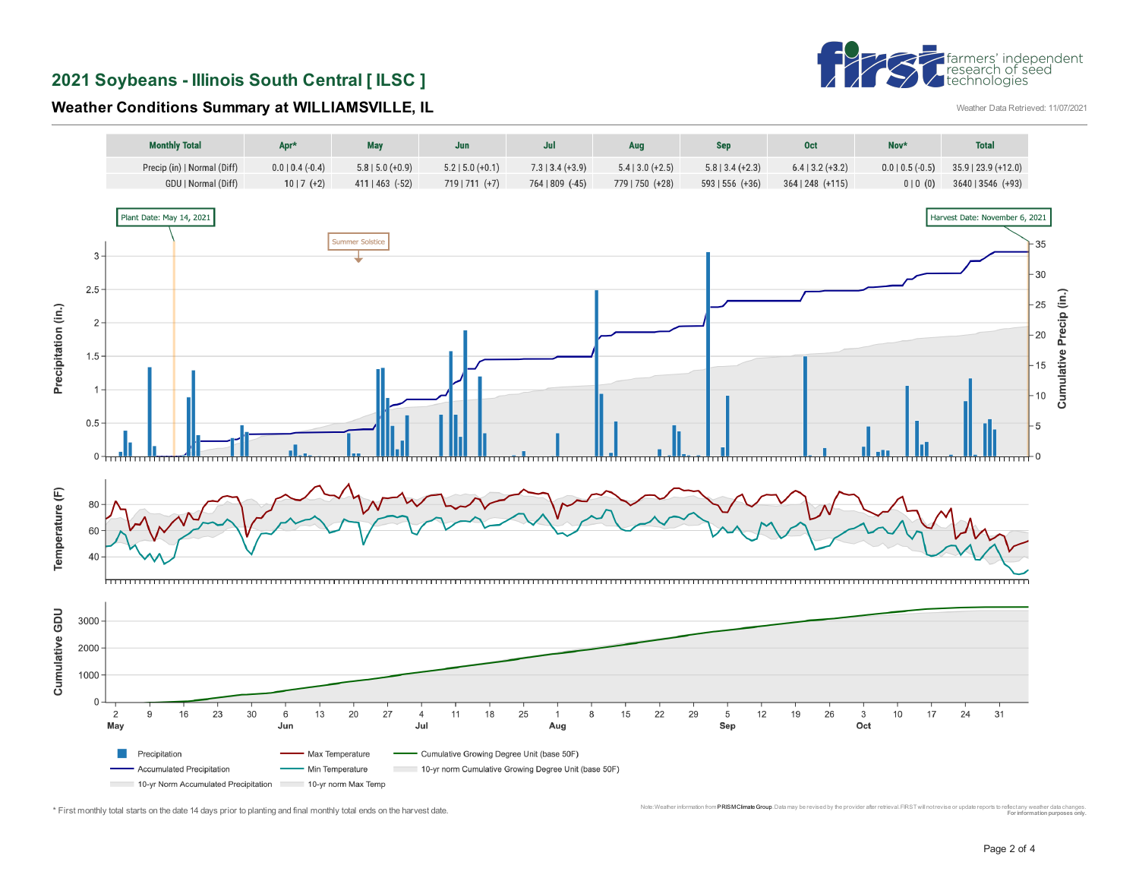# †farmers' independent<br>|research of seed<br>|technologies

**2021 Soybeans - Illinois South Central [ ILSC ]** 

**Weather Conditions Summary at WILLIAMSVILLE, IL** WEATHER ALL THE SECONDATE STATE REFERENCE 11/07/2021



<sup>\*</sup> First monthly total starts on the date 14 days prior to planting and final monthly total ends on the harvest date. Monic was the computation and the computation and the computation provider all environment in the computa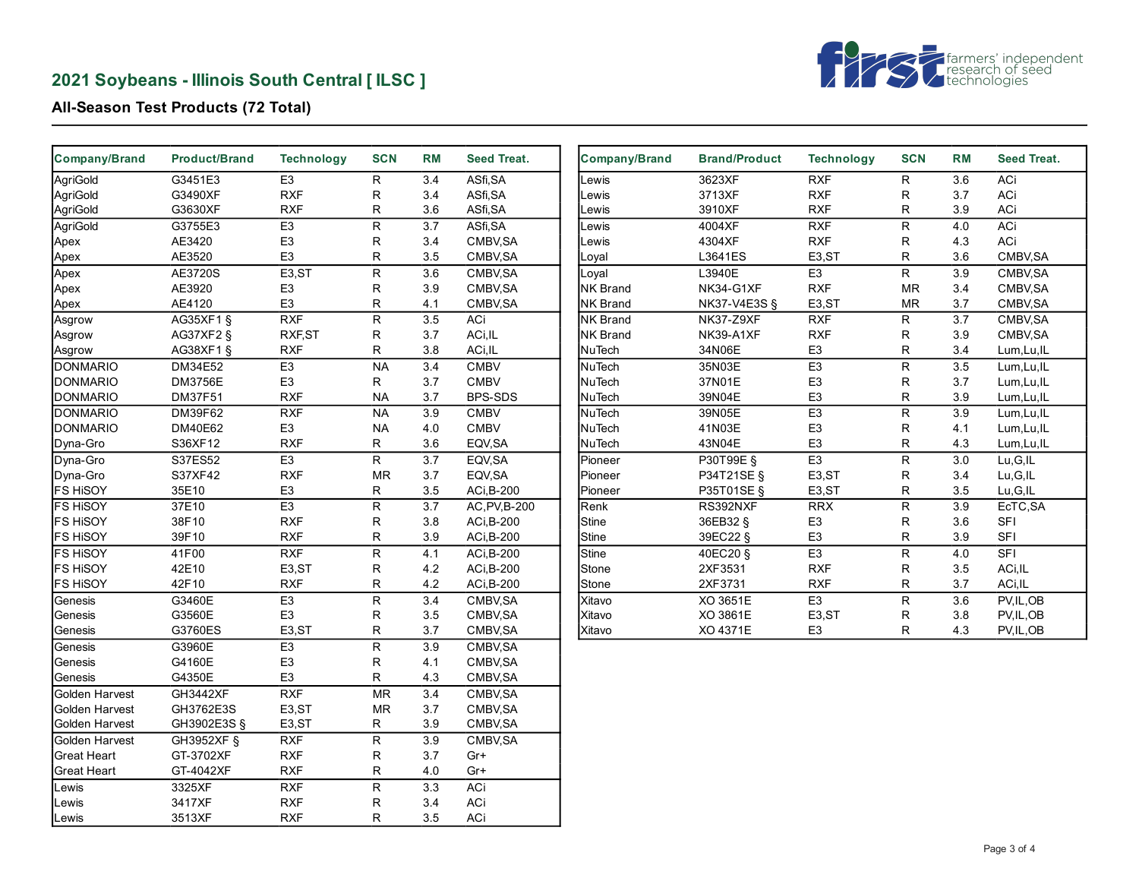# **2021 Soybeans - Illinois South Central [ ILSC ]**



#### **All-Season Test Products (72 Total)**

| Company/Brand      | <b>Product/Brand</b> | <b>Technology</b>  | <b>SCN</b>               | <b>RM</b>        | Seed Treat.   | Company/Brand   | <b>Brand/Product</b> | <b>Technology</b>  | <b>SCN</b>              | <b>RM</b>        | Seed Treat. |
|--------------------|----------------------|--------------------|--------------------------|------------------|---------------|-----------------|----------------------|--------------------|-------------------------|------------------|-------------|
| AgriGold           | G3451E3              | E3                 | $\mathsf{R}$             | 3.4              | ASfi, SA      | Lewis           | 3623XF               | RXF                | $\mathsf{R}$            | 3.6              | <b>ACi</b>  |
| AgriGold           | G3490XF              | <b>RXF</b>         | R                        | 3.4              | ASfi, SA      | Lewis           | 3713XF               | <b>RXF</b>         | $\mathsf R$             | 3.7              | ACi         |
| AgriGold           | G3630XF              | <b>RXF</b>         | R                        | 3.6              | ASfi, SA      | Lewis           | 3910XF               | <b>RXF</b>         | R                       | 3.9              | ACi         |
| AgriGold           | G3755E3              | E <sub>3</sub>     | R                        | 3.7              | ASfi, SA      | Lewis           | 4004XF               | <b>RXF</b>         | $\sf R$                 | 4.0              | ACi         |
| Apex               | AE3420               | E <sub>3</sub>     | R                        | 3.4              | CMBV, SA      | Lewis           | 4304XF               | <b>RXF</b>         | R                       | 4.3              | ACi         |
| Apex               | AE3520               | E <sub>3</sub>     | R                        | 3.5              | CMBV, SA      | Loyal           | L3641ES              | E <sub>3</sub> ,ST | R                       | 3.6              | CMBV, SA    |
| Apex               | AE3720S              | E3,ST              | R                        | 3.6              | CMBV, SA      | Loyal           | L3940E               | E3                 | $\mathsf{R}$            | 3.9              | CMBV, SA    |
| Apex               | AE3920               | E <sub>3</sub>     | R                        | 3.9              | CMBV, SA      | <b>NK Brand</b> | NK34-G1XF            | <b>RXF</b>         | <b>MR</b>               | 3.4              | CMBV, SA    |
| Apex               | AE4120               | E <sub>3</sub>     | R                        | 4.1              | CMBV, SA      | <b>NK Brand</b> | NK37-V4E3S §         | E <sub>3</sub> ,ST | <b>MR</b>               | 3.7              | CMBV, SA    |
| Asgrow             | AG35XF1 §            | RXF                | $\overline{R}$           | 3.5              | ACi           | <b>NK Brand</b> | <b>NK37-Z9XF</b>     | RXF                | $\mathsf{R}$            | $\overline{3.7}$ | CMBV, SA    |
| Asgrow             | AG37XF2 §            | RXF, ST            | R                        | 3.7              | ACi, IL       | <b>NK Brand</b> | NK39-A1XF            | <b>RXF</b>         | ${\sf R}$               | 3.9              | CMBV, SA    |
| Asgrow             | AG38XF1 §            | <b>RXF</b>         | R                        | 3.8              | ACi, IL       | NuTech          | 34N06E               | E <sub>3</sub>     | R                       | 3.4              | Lum, Lu, IL |
| <b>DONMARIO</b>    | DM34E52              | E <sub>3</sub>     | <b>NA</b>                | 3.4              | <b>CMBV</b>   | NuTech          | 35N03E               | E <sub>3</sub>     | $\overline{\mathsf{R}}$ | 3.5              | Lum, Lu, IL |
| <b>DONMARIO</b>    | <b>DM3756E</b>       | E <sub>3</sub>     | R                        | 3.7              | <b>CMBV</b>   | NuTech          | 37N01E               | E <sub>3</sub>     | ${\sf R}$               | 3.7              | Lum, Lu, IL |
| <b>DONMARIO</b>    | DM37F51              | <b>RXF</b>         | <b>NA</b>                | 3.7              | BPS-SDS       | NuTech          | 39N04E               | E <sub>3</sub>     | R                       | 3.9              | Lum, Lu, IL |
| <b>DONMARIO</b>    | DM39F62              | RXF                | <b>NA</b>                | 3.9              | <b>CMBV</b>   | NuTech          | 39N05E               | E3                 | ${\sf R}$               | 3.9              | Lum, Lu, IL |
| <b>DONMARIO</b>    | DM40E62              | E <sub>3</sub>     | <b>NA</b>                | 4.0              | <b>CMBV</b>   | <b>NuTech</b>   | 41N03E               | E <sub>3</sub>     | R                       | 4.1              | Lum, Lu, IL |
| Dyna-Gro           | S36XF12              | <b>RXF</b>         | R                        | 3.6              | EQV, SA       | NuTech          | 43N04E               | E <sub>3</sub>     | R                       | 4.3              | Lum, Lu, IL |
| Dyna-Gro           | S37ES52              | E3                 | R.                       | $\overline{3.7}$ | EQV, SA       | Pioneer         | P30T99E §            | $\overline{E3}$    | $\overline{R}$          | 3.0              | Lu,G,IL     |
| Dyna-Gro           | S37XF42              | <b>RXF</b>         | MR                       | 3.7              | EQV, SA       | Pioneer         | P34T21SE §           | E3,ST              | ${\sf R}$               | 3.4              | Lu, G, IL   |
| <b>FS HISOY</b>    | 35E10                | E <sub>3</sub>     | R                        | 3.5              | ACi, B-200    | Pioneer         | P35T01SE §           | E <sub>3</sub> ,ST | R                       | 3.5              | Lu,G,IL     |
| <b>FS HISOY</b>    | 37E10                | E <sub>3</sub>     | R                        | 3.7              | AC, PV, B-200 | Renk            | RS392NXF             | <b>RRX</b>         | ${\sf R}$               | 3.9              | EcTC, SA    |
| <b>FS HISOY</b>    | 38F10                | <b>RXF</b>         | R                        | 3.8              | ACi, B-200    | Stine           | 36EB32 §             | E <sub>3</sub>     | R                       | 3.6              | <b>SFI</b>  |
| <b>FS HISOY</b>    | 39F10                | <b>RXF</b>         | R                        | 3.9              | ACi, B-200    | Stine           | 39EC22 §             | E <sub>3</sub>     | R                       | $3.9\,$          | SFI         |
| <b>FS HISOY</b>    | 41F00                | RXF                | $\overline{R}$           | 4.1              | ACi, B-200    | Stine           | 40EC20 §             | E3                 | $\overline{R}$          | 4.0              | STI         |
| <b>FS HISOY</b>    | 42E10                | E <sub>3</sub> ,ST | R                        | 4.2              | ACi, B-200    | Stone           | 2XF3531              | <b>RXF</b>         | R                       | 3.5              | ACi, IL     |
| <b>FS HISOY</b>    | 42F10                | <b>RXF</b>         | R                        | 4.2              | ACi, B-200    | Stone           | 2XF3731              | <b>RXF</b>         | $\mathsf R$             | 3.7              | ACi, IL     |
| Genesis            | G3460E               | E3                 | $\overline{R}$           | 3.4              | CMBV, SA      | Xitavo          | XO 3651E             | E3                 | ${\sf R}$               | 3.6              | PV, IL, OB  |
| Genesis            | G3560E               | E <sub>3</sub>     | R                        | 3.5              | CMBV, SA      | Xitavo          | XO 3861E             | E3,ST              | $\mathsf R$             | 3.8              | PV, IL, OB  |
| Genesis            | G3760ES              | E <sub>3</sub> ,ST | R                        | 3.7              | CMBV, SA      | Xitavo          | XO 4371E             | E <sub>3</sub>     | R                       | 4.3              | PV, IL, OB  |
| Genesis            | G3960E               | E <sub>3</sub>     | $\overline{\mathsf{R}}$  | 3.9              | CMBV, SA      |                 |                      |                    |                         |                  |             |
| Genesis            | G4160E               | E <sub>3</sub>     | R                        | 4.1              | CMBV, SA      |                 |                      |                    |                         |                  |             |
| Genesis            | G4350E               | E <sub>3</sub>     | R                        | 4.3              | CMBV, SA      |                 |                      |                    |                         |                  |             |
| Golden Harvest     | GH3442XF             | RXF                | $\overline{\mathsf{MR}}$ | $\overline{3.4}$ | CMBV, SA      |                 |                      |                    |                         |                  |             |
| Golden Harvest     | GH3762E3S            | E <sub>3</sub> ,ST | <b>MR</b>                | 3.7              | CMBV, SA      |                 |                      |                    |                         |                  |             |
| Golden Harvest     | GH3902E3S §          | E3,ST              | R                        | 3.9              | CMBV, SA      |                 |                      |                    |                         |                  |             |
| Golden Harvest     | GH3952XF §           | RXF                | R                        | 3.9              | CMBV, SA      |                 |                      |                    |                         |                  |             |
| <b>Great Heart</b> | GT-3702XF            | <b>RXF</b>         | R                        | 3.7              | $Gr+$         |                 |                      |                    |                         |                  |             |
| <b>Great Heart</b> | GT-4042XF            | <b>RXF</b>         | R                        | 4.0              | Gr+           |                 |                      |                    |                         |                  |             |
| Lewis              | 3325XF               | <b>RXF</b>         | R                        | 3.3              | <b>ACi</b>    |                 |                      |                    |                         |                  |             |
| Lewis              | 3417XF               | <b>RXF</b>         | R                        | 3.4              | ACi           |                 |                      |                    |                         |                  |             |
| Lewis              | 3513XF               | <b>RXF</b>         | R                        | 3.5              | ACi           |                 |                      |                    |                         |                  |             |